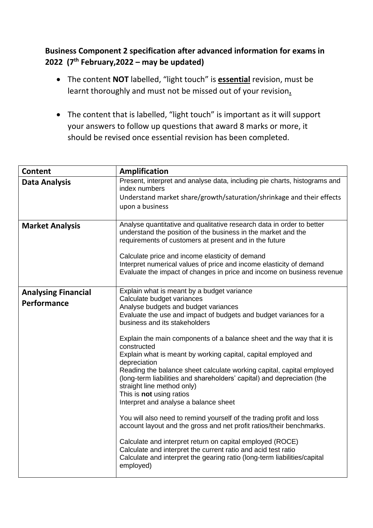## **Business Component 2 specification after advanced information for exams in 2022 (7th February,2022 – may be updated)**

- The content **NOT** labelled, "light touch" is **essential** revision, must be learnt thoroughly and must not be missed out of your revision**.**
- The content that is labelled, "light touch" is important as it will support your answers to follow up questions that award 8 marks or more, it should be revised once essential revision has been completed.

| <b>Content</b>                            | <b>Amplification</b>                                                                                                                                                                                                                                                                                                                                                                                                                                                                                                                                                                                                                                                                                                                                                                                                                                                                                                                                                                                                           |
|-------------------------------------------|--------------------------------------------------------------------------------------------------------------------------------------------------------------------------------------------------------------------------------------------------------------------------------------------------------------------------------------------------------------------------------------------------------------------------------------------------------------------------------------------------------------------------------------------------------------------------------------------------------------------------------------------------------------------------------------------------------------------------------------------------------------------------------------------------------------------------------------------------------------------------------------------------------------------------------------------------------------------------------------------------------------------------------|
| <b>Data Analysis</b>                      | Present, interpret and analyse data, including pie charts, histograms and<br>index numbers<br>Understand market share/growth/saturation/shrinkage and their effects<br>upon a business                                                                                                                                                                                                                                                                                                                                                                                                                                                                                                                                                                                                                                                                                                                                                                                                                                         |
| <b>Market Analysis</b>                    | Analyse quantitative and qualitative research data in order to better<br>understand the position of the business in the market and the<br>requirements of customers at present and in the future<br>Calculate price and income elasticity of demand<br>Interpret numerical values of price and income elasticity of demand<br>Evaluate the impact of changes in price and income on business revenue                                                                                                                                                                                                                                                                                                                                                                                                                                                                                                                                                                                                                           |
| <b>Analysing Financial</b><br>Performance | Explain what is meant by a budget variance<br>Calculate budget variances<br>Analyse budgets and budget variances<br>Evaluate the use and impact of budgets and budget variances for a<br>business and its stakeholders<br>Explain the main components of a balance sheet and the way that it is<br>constructed<br>Explain what is meant by working capital, capital employed and<br>depreciation<br>Reading the balance sheet calculate working capital, capital employed<br>(long-term liabilities and shareholders' capital) and depreciation (the<br>straight line method only)<br>This is not using ratios<br>Interpret and analyse a balance sheet<br>You will also need to remind yourself of the trading profit and loss<br>account layout and the gross and net profit ratios/their benchmarks.<br>Calculate and interpret return on capital employed (ROCE)<br>Calculate and interpret the current ratio and acid test ratio<br>Calculate and interpret the gearing ratio (long-term liabilities/capital<br>employed) |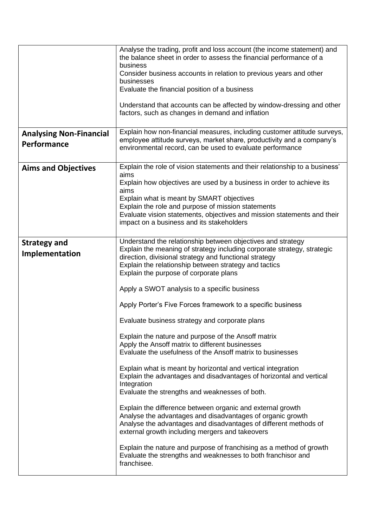|                                               | Analyse the trading, profit and loss account (the income statement) and<br>the balance sheet in order to assess the financial performance of a<br>business<br>Consider business accounts in relation to previous years and other<br>businesses<br>Evaluate the financial position of a business<br>Understand that accounts can be affected by window-dressing and other<br>factors, such as changes in demand and inflation                                                                                                                                                                                                                                                                                                                                                                                                                                                                                                                                                                                                                                                                                                                                                                                                                                  |
|-----------------------------------------------|---------------------------------------------------------------------------------------------------------------------------------------------------------------------------------------------------------------------------------------------------------------------------------------------------------------------------------------------------------------------------------------------------------------------------------------------------------------------------------------------------------------------------------------------------------------------------------------------------------------------------------------------------------------------------------------------------------------------------------------------------------------------------------------------------------------------------------------------------------------------------------------------------------------------------------------------------------------------------------------------------------------------------------------------------------------------------------------------------------------------------------------------------------------------------------------------------------------------------------------------------------------|
| <b>Analysing Non-Financial</b><br>Performance | Explain how non-financial measures, including customer attitude surveys,<br>employee attitude surveys, market share, productivity and a company's<br>environmental record, can be used to evaluate performance                                                                                                                                                                                                                                                                                                                                                                                                                                                                                                                                                                                                                                                                                                                                                                                                                                                                                                                                                                                                                                                |
| <b>Aims and Objectives</b>                    | Explain the role of vision statements and their relationship to a business'<br>aims<br>Explain how objectives are used by a business in order to achieve its<br>aims<br>Explain what is meant by SMART objectives<br>Explain the role and purpose of mission statements<br>Evaluate vision statements, objectives and mission statements and their<br>impact on a business and its stakeholders                                                                                                                                                                                                                                                                                                                                                                                                                                                                                                                                                                                                                                                                                                                                                                                                                                                               |
| <b>Strategy and</b><br>Implementation         | Understand the relationship between objectives and strategy<br>Explain the meaning of strategy including corporate strategy, strategic<br>direction, divisional strategy and functional strategy<br>Explain the relationship between strategy and tactics<br>Explain the purpose of corporate plans<br>Apply a SWOT analysis to a specific business<br>Apply Porter's Five Forces framework to a specific business<br>Evaluate business strategy and corporate plans<br>Explain the nature and purpose of the Ansoff matrix<br>Apply the Ansoff matrix to different businesses<br>Evaluate the usefulness of the Ansoff matrix to businesses<br>Explain what is meant by horizontal and vertical integration<br>Explain the advantages and disadvantages of horizontal and vertical<br>Integration<br>Evaluate the strengths and weaknesses of both.<br>Explain the difference between organic and external growth<br>Analyse the advantages and disadvantages of organic growth<br>Analyse the advantages and disadvantages of different methods of<br>external growth including mergers and takeovers<br>Explain the nature and purpose of franchising as a method of growth<br>Evaluate the strengths and weaknesses to both franchisor and<br>franchisee. |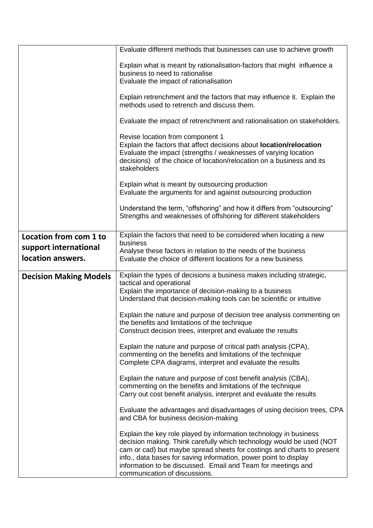|                               | Evaluate different methods that businesses can use to achieve growth                                                                                                                                                                                                                                                                                                                     |
|-------------------------------|------------------------------------------------------------------------------------------------------------------------------------------------------------------------------------------------------------------------------------------------------------------------------------------------------------------------------------------------------------------------------------------|
|                               | Explain what is meant by rationalisation-factors that might influence a<br>business to need to rationalise<br>Evaluate the impact of rationalisation                                                                                                                                                                                                                                     |
|                               | Explain retrenchment and the factors that may influence it. Explain the<br>methods used to retrench and discuss them.                                                                                                                                                                                                                                                                    |
|                               | Evaluate the impact of retrenchment and rationalisation on stakeholders.                                                                                                                                                                                                                                                                                                                 |
|                               | Revise location from component 1<br>Explain the factors that affect decisions about location/relocation<br>Evaluate the impact (strengths / weaknesses of varying location<br>decisions) of the choice of location/relocation on a business and its<br>stakeholders                                                                                                                      |
|                               | Explain what is meant by outsourcing production<br>Evaluate the arguments for and against outsourcing production                                                                                                                                                                                                                                                                         |
|                               | Understand the term, "offshoring" and how it differs from "outsourcing"<br>Strengths and weaknesses of offshoring for different stakeholders                                                                                                                                                                                                                                             |
| Location from com 1 to        | Explain the factors that need to be considered when locating a new<br>business                                                                                                                                                                                                                                                                                                           |
| support international         | Analyse these factors in relation to the needs of the business                                                                                                                                                                                                                                                                                                                           |
| location answers.             | Evaluate the choice of different locations for a new business                                                                                                                                                                                                                                                                                                                            |
| <b>Decision Making Models</b> | Explain the types of decisions a business makes including strategic,<br>tactical and operational<br>Explain the importance of decision-making to a business<br>Understand that decision-making tools can be scientific or intuitive                                                                                                                                                      |
|                               | Explain the nature and purpose of decision tree analysis commenting on<br>the benefits and limitations of the technique<br>Construct decision trees, interpret and evaluate the results                                                                                                                                                                                                  |
|                               | Explain the nature and purpose of critical path analysis (CPA),<br>commenting on the benefits and limitations of the technique<br>Complete CPA diagrams, interpret and evaluate the results                                                                                                                                                                                              |
|                               | Explain the nature and purpose of cost benefit analysis (CBA),<br>commenting on the benefits and limitations of the technique<br>Carry out cost benefit analysis, interpret and evaluate the results                                                                                                                                                                                     |
|                               | Evaluate the advantages and disadvantages of using decision trees, CPA<br>and CBA for business decision-making                                                                                                                                                                                                                                                                           |
|                               | Explain the key role played by information technology in business<br>decision making. Think carefully which technology would be used (NOT<br>cam or cad) but maybe spread sheets for costings and charts to present<br>info., data bases for saving information, power point to display<br>information to be discussed. Email and Team for meetings and<br>communication of discussions. |